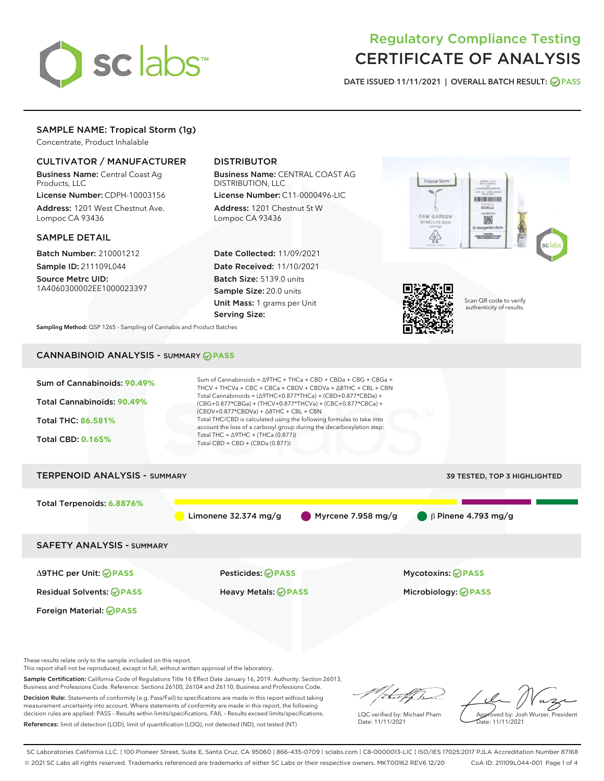

# Regulatory Compliance Testing CERTIFICATE OF ANALYSIS

DATE ISSUED 11/11/2021 | OVERALL BATCH RESULT: @ PASS

# SAMPLE NAME: Tropical Storm (1g)

Concentrate, Product Inhalable

# CULTIVATOR / MANUFACTURER

Business Name: Central Coast Ag Products, LLC

License Number: CDPH-10003156 Address: 1201 West Chestnut Ave. Lompoc CA 93436

### SAMPLE DETAIL

Batch Number: 210001212 Sample ID: 211109L044

Source Metrc UID: 1A4060300002EE1000023397

# DISTRIBUTOR

Business Name: CENTRAL COAST AG DISTRIBUTION, LLC

License Number: C11-0000496-LIC Address: 1201 Chestnut St W Lompoc CA 93436

Date Collected: 11/09/2021 Date Received: 11/10/2021 Batch Size: 5139.0 units Sample Size: 20.0 units Unit Mass: 1 grams per Unit Serving Size:





Scan QR code to verify authenticity of results.

Sampling Method: QSP 1265 - Sampling of Cannabis and Product Batches

# CANNABINOID ANALYSIS - SUMMARY **PASS**



These results relate only to the sample included on this report.

This report shall not be reproduced, except in full, without written approval of the laboratory.

Sample Certification: California Code of Regulations Title 16 Effect Date January 16, 2019. Authority: Section 26013, Business and Professions Code. Reference: Sections 26100, 26104 and 26110, Business and Professions Code.

Decision Rule: Statements of conformity (e.g. Pass/Fail) to specifications are made in this report without taking measurement uncertainty into account. Where statements of conformity are made in this report, the following decision rules are applied: PASS – Results within limits/specifications, FAIL – Results exceed limits/specifications. References: limit of detection (LOD), limit of quantification (LOQ), not detected (ND), not tested (NT)

that f(ha

LQC verified by: Michael Pham Date: 11/11/2021

Approved by: Josh Wurzer, President ate: 11/11/2021

SC Laboratories California LLC. | 100 Pioneer Street, Suite E, Santa Cruz, CA 95060 | 866-435-0709 | sclabs.com | C8-0000013-LIC | ISO/IES 17025:2017 PJLA Accreditation Number 87168 © 2021 SC Labs all rights reserved. Trademarks referenced are trademarks of either SC Labs or their respective owners. MKT00162 REV6 12/20 CoA ID: 211109L044-001 Page 1 of 4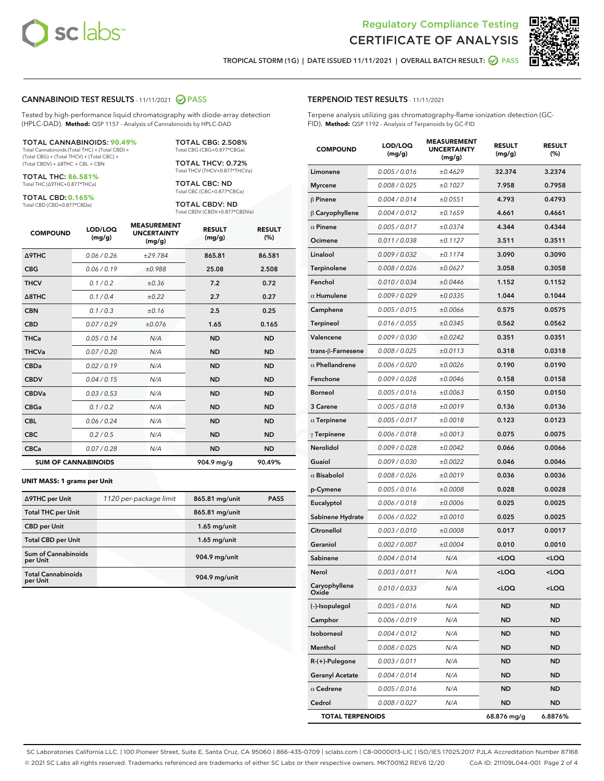



TROPICAL STORM (1G) | DATE ISSUED 11/11/2021 | OVERALL BATCH RESULT: **● PASS** 

### CANNABINOID TEST RESULTS - 11/11/2021 2 PASS

Tested by high-performance liquid chromatography with diode-array detection (HPLC-DAD). **Method:** QSP 1157 - Analysis of Cannabinoids by HPLC-DAD

#### TOTAL CANNABINOIDS: **90.49%**

Total Cannabinoids (Total THC) + (Total CBD) + (Total CBG) + (Total THCV) + (Total CBC) + (Total CBDV) + ∆8THC + CBL + CBN

TOTAL THC: **86.581%** Total THC (∆9THC+0.877\*THCa)

TOTAL CBD: **0.165%**

Total CBD (CBD+0.877\*CBDa)

TOTAL CBG: 2.508% Total CBG (CBG+0.877\*CBGa)

TOTAL THCV: 0.72% Total THCV (THCV+0.877\*THCVa)

TOTAL CBC: ND Total CBC (CBC+0.877\*CBCa)

TOTAL CBDV: ND Total CBDV (CBDV+0.877\*CBDVa)

| <b>COMPOUND</b>            | LOD/LOQ<br>(mg/g) | <b>MEASUREMENT</b><br><b>UNCERTAINTY</b><br>(mg/g) | <b>RESULT</b><br>(mg/g) | <b>RESULT</b><br>(%) |
|----------------------------|-------------------|----------------------------------------------------|-------------------------|----------------------|
| <b>A9THC</b>               | 0.06 / 0.26       | ±29.784                                            | 865.81                  | 86.581               |
| <b>CBG</b>                 | 0.06 / 0.19       | ±0.988                                             | 25.08                   | 2.508                |
| <b>THCV</b>                | 0.1 / 0.2         | ±0.36                                              | 7.2                     | 0.72                 |
| $\triangle$ 8THC           | 0.1/0.4           | ±0.22                                              | 2.7                     | 0.27                 |
| <b>CBN</b>                 | 0.1/0.3           | ±0.16                                              | 2.5                     | 0.25                 |
| <b>CBD</b>                 | 0.07/0.29         | ±0.076                                             | 1.65                    | 0.165                |
| <b>THCa</b>                | 0.05/0.14         | N/A                                                | <b>ND</b>               | <b>ND</b>            |
| <b>THCVa</b>               | 0.07/0.20         | N/A                                                | <b>ND</b>               | <b>ND</b>            |
| <b>CBDa</b>                | 0.02/0.19         | N/A                                                | <b>ND</b>               | <b>ND</b>            |
| <b>CBDV</b>                | 0.04 / 0.15       | N/A                                                | <b>ND</b>               | <b>ND</b>            |
| <b>CBDVa</b>               | 0.03/0.53         | N/A                                                | <b>ND</b>               | <b>ND</b>            |
| <b>CBGa</b>                | 0.1 / 0.2         | N/A                                                | <b>ND</b>               | <b>ND</b>            |
| <b>CBL</b>                 | 0.06 / 0.24       | N/A                                                | <b>ND</b>               | <b>ND</b>            |
| <b>CBC</b>                 | 0.2 / 0.5         | N/A                                                | <b>ND</b>               | <b>ND</b>            |
| <b>CBCa</b>                | 0.07/0.28         | N/A                                                | <b>ND</b>               | <b>ND</b>            |
| <b>SUM OF CANNABINOIDS</b> |                   |                                                    | 904.9 mg/g              | 90.49%               |

#### **UNIT MASS: 1 grams per Unit**

| ∆9THC per Unit                         | 1120 per-package limit | 865.81 mg/unit | <b>PASS</b> |
|----------------------------------------|------------------------|----------------|-------------|
| <b>Total THC per Unit</b>              |                        | 865.81 mg/unit |             |
| <b>CBD per Unit</b>                    |                        | $1.65$ mg/unit |             |
| <b>Total CBD per Unit</b>              |                        | $1.65$ mg/unit |             |
| <b>Sum of Cannabinoids</b><br>per Unit |                        | 904.9 mg/unit  |             |
| <b>Total Cannabinoids</b><br>per Unit  |                        | 904.9 mg/unit  |             |

| <b>COMPOUND</b>         | LOD/LOQ<br>(mg/g) | <b>MEASUREMENT</b><br><b>UNCERTAINTY</b><br>(mg/g) | <b>RESULT</b><br>(mg/g)                         | <b>RESULT</b><br>(%) |
|-------------------------|-------------------|----------------------------------------------------|-------------------------------------------------|----------------------|
| Limonene                | 0.005 / 0.016     | ±0.4629                                            | 32.374                                          | 3.2374               |
| <b>Myrcene</b>          | 0.008 / 0.025     | ±0.1027                                            | 7.958                                           | 0.7958               |
| $\beta$ Pinene          | 0.004 / 0.014     | ±0.0551                                            | 4.793                                           | 0.4793               |
| $\beta$ Caryophyllene   | 0.004 / 0.012     | ±0.1659                                            | 4.661                                           | 0.4661               |
| $\alpha$ Pinene         | 0.005 / 0.017     | ±0.0374                                            | 4.344                                           | 0.4344               |
| Ocimene                 | 0.011/0.038       | ±0.1127                                            | 3.511                                           | 0.3511               |
| Linalool                | 0.009 / 0.032     | ±0.1174                                            | 3.090                                           | 0.3090               |
| Terpinolene             | 0.008 / 0.026     | ±0.0627                                            | 3.058                                           | 0.3058               |
| Fenchol                 | 0.010 / 0.034     | ±0.0446                                            | 1.152                                           | 0.1152               |
| $\alpha$ Humulene       | 0.009 / 0.029     | ±0.0335                                            | 1.044                                           | 0.1044               |
| Camphene                | 0.005 / 0.015     | ±0.0066                                            | 0.575                                           | 0.0575               |
| <b>Terpineol</b>        | 0.016 / 0.055     | ±0.0345                                            | 0.562                                           | 0.0562               |
| Valencene               | 0.009 / 0.030     | ±0.0242                                            | 0.351                                           | 0.0351               |
| trans-ß-Farnesene       | 0.008 / 0.025     | ±0.0113                                            | 0.318                                           | 0.0318               |
| $\alpha$ Phellandrene   | 0.006 / 0.020     | ±0.0026                                            | 0.190                                           | 0.0190               |
| Fenchone                | 0.009 / 0.028     | ±0.0046                                            | 0.158                                           | 0.0158               |
| <b>Borneol</b>          | 0.005 / 0.016     | ±0.0063                                            | 0.150                                           | 0.0150               |
| 3 Carene                | 0.005 / 0.018     | ±0.0019                                            | 0.136                                           | 0.0136               |
| $\alpha$ Terpinene      | 0.005 / 0.017     | ±0.0018                                            | 0.123                                           | 0.0123               |
| $\gamma$ Terpinene      | 0.006 / 0.018     | ±0.0013                                            | 0.075                                           | 0.0075               |
| Nerolidol               | 0.009 / 0.028     | ±0.0042                                            | 0.066                                           | 0.0066               |
| Guaiol                  | 0.009 / 0.030     | ±0.0022                                            | 0.046                                           | 0.0046               |
| $\alpha$ Bisabolol      | 0.008 / 0.026     | ±0.0019                                            | 0.036                                           | 0.0036               |
| p-Cymene                | 0.005 / 0.016     | ±0.0008                                            | 0.028                                           | 0.0028               |
| Eucalyptol              | 0.006 / 0.018     | ±0.0006                                            | 0.025                                           | 0.0025               |
| Sabinene Hydrate        | 0.006 / 0.022     | ±0.0010                                            | 0.025                                           | 0.0025               |
| Citronellol             | 0.003 / 0.010     | ±0.0008                                            | 0.017                                           | 0.0017               |
| Geraniol                | 0.002 / 0.007     | ±0.0004                                            | 0.010                                           | 0.0010               |
| Sabinene                | 0.004 / 0.014     | N/A                                                | <loq< th=""><th><loq< th=""></loq<></th></loq<> | <loq< th=""></loq<>  |
| Nerol                   | 0.003 / 0.011     | N/A                                                | <loq< th=""><th><loq< th=""></loq<></th></loq<> | <loq< th=""></loq<>  |
| Caryophyllene<br>Oxide  | 0.010 / 0.033     | N/A                                                | <loq< th=""><th><loq< th=""></loq<></th></loq<> | <loq< th=""></loq<>  |
| (-)-Isopulegol          | 0.005 / 0.016     | N/A                                                | ND                                              | ND                   |
| Camphor                 | 0.006 / 0.019     | N/A                                                | ND                                              | ND                   |
| Isoborneol              | 0.004 / 0.012     | N/A                                                | ND                                              | ND                   |
| Menthol                 | 0.008 / 0.025     | N/A                                                | ND                                              | ND                   |
| $R-(+)$ -Pulegone       | 0.003 / 0.011     | N/A                                                | ND                                              | ND                   |
| <b>Geranyl Acetate</b>  | 0.004 / 0.014     | N/A                                                | ND                                              | ND                   |
| $\alpha$ Cedrene        | 0.005 / 0.016     | N/A                                                | ND                                              | ND                   |
| Cedrol                  | 0.008 / 0.027     | N/A                                                | ND                                              | ND                   |
| <b>TOTAL TERPENOIDS</b> |                   |                                                    | 68.876 mg/g                                     | 6.8876%              |

SC Laboratories California LLC. | 100 Pioneer Street, Suite E, Santa Cruz, CA 95060 | 866-435-0709 | sclabs.com | C8-0000013-LIC | ISO/IES 17025:2017 PJLA Accreditation Number 87168 © 2021 SC Labs all rights reserved. Trademarks referenced are trademarks of either SC Labs or their respective owners. MKT00162 REV6 12/20 CoA ID: 211109L044-001 Page 2 of 4

# TERPENOID TEST RESULTS - 11/11/2021

Terpene analysis utilizing gas chromatography-flame ionization detection (GC-FID). **Method:** QSP 1192 - Analysis of Terpenoids by GC-FID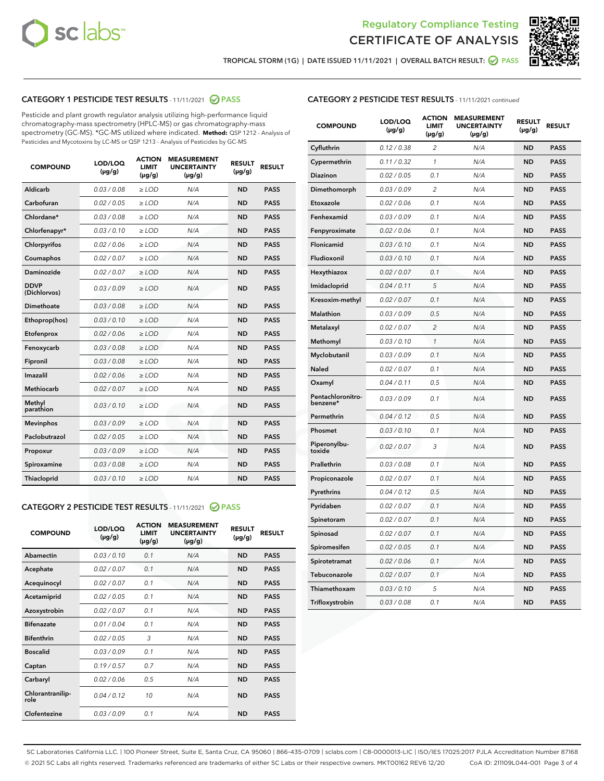



TROPICAL STORM (1G) | DATE ISSUED 11/11/2021 | OVERALL BATCH RESULT: @ PASS

# CATEGORY 1 PESTICIDE TEST RESULTS - 11/11/2021 2 PASS

Pesticide and plant growth regulator analysis utilizing high-performance liquid chromatography-mass spectrometry (HPLC-MS) or gas chromatography-mass spectrometry (GC-MS). \*GC-MS utilized where indicated. **Method:** QSP 1212 - Analysis of Pesticides and Mycotoxins by LC-MS or QSP 1213 - Analysis of Pesticides by GC-MS

| <b>COMPOUND</b>             | LOD/LOQ<br>$(\mu g/g)$ | <b>ACTION</b><br><b>LIMIT</b><br>$(\mu q/q)$ | <b>MEASUREMENT</b><br><b>UNCERTAINTY</b><br>$(\mu g/g)$ | <b>RESULT</b><br>$(\mu g/g)$ | <b>RESULT</b> |
|-----------------------------|------------------------|----------------------------------------------|---------------------------------------------------------|------------------------------|---------------|
| Aldicarb                    | 0.03 / 0.08            | $\ge$ LOD                                    | N/A                                                     | <b>ND</b>                    | <b>PASS</b>   |
| Carbofuran                  | 0.02 / 0.05            | $\ge$ LOD                                    | N/A                                                     | <b>ND</b>                    | <b>PASS</b>   |
| Chlordane*                  | 0.03 / 0.08            | $\ge$ LOD                                    | N/A                                                     | <b>ND</b>                    | <b>PASS</b>   |
| Chlorfenapyr*               | 0.03/0.10              | $\ge$ LOD                                    | N/A                                                     | <b>ND</b>                    | <b>PASS</b>   |
| Chlorpyrifos                | 0.02 / 0.06            | $\ge$ LOD                                    | N/A                                                     | <b>ND</b>                    | <b>PASS</b>   |
| Coumaphos                   | 0.02 / 0.07            | $\ge$ LOD                                    | N/A                                                     | <b>ND</b>                    | <b>PASS</b>   |
| Daminozide                  | 0.02 / 0.07            | $\ge$ LOD                                    | N/A                                                     | <b>ND</b>                    | <b>PASS</b>   |
| <b>DDVP</b><br>(Dichlorvos) | 0.03/0.09              | $\ge$ LOD                                    | N/A                                                     | <b>ND</b>                    | <b>PASS</b>   |
| Dimethoate                  | 0.03 / 0.08            | $\ge$ LOD                                    | N/A                                                     | <b>ND</b>                    | <b>PASS</b>   |
| Ethoprop(hos)               | 0.03/0.10              | $\ge$ LOD                                    | N/A                                                     | <b>ND</b>                    | <b>PASS</b>   |
| Etofenprox                  | 0.02/0.06              | $>$ LOD                                      | N/A                                                     | <b>ND</b>                    | <b>PASS</b>   |
| Fenoxycarb                  | 0.03 / 0.08            | $\ge$ LOD                                    | N/A                                                     | <b>ND</b>                    | <b>PASS</b>   |
| Fipronil                    | 0.03/0.08              | $>$ LOD                                      | N/A                                                     | <b>ND</b>                    | <b>PASS</b>   |
| Imazalil                    | 0.02 / 0.06            | $\ge$ LOD                                    | N/A                                                     | <b>ND</b>                    | <b>PASS</b>   |
| Methiocarb                  | 0.02 / 0.07            | $\ge$ LOD                                    | N/A                                                     | <b>ND</b>                    | <b>PASS</b>   |
| Methyl<br>parathion         | 0.03/0.10              | $>$ LOD                                      | N/A                                                     | <b>ND</b>                    | <b>PASS</b>   |
| <b>Mevinphos</b>            | 0.03/0.09              | $>$ LOD                                      | N/A                                                     | <b>ND</b>                    | <b>PASS</b>   |
| Paclobutrazol               | 0.02 / 0.05            | $>$ LOD                                      | N/A                                                     | <b>ND</b>                    | <b>PASS</b>   |
| Propoxur                    | 0.03/0.09              | $\ge$ LOD                                    | N/A                                                     | <b>ND</b>                    | <b>PASS</b>   |
| Spiroxamine                 | 0.03 / 0.08            | $\ge$ LOD                                    | N/A                                                     | <b>ND</b>                    | <b>PASS</b>   |
| Thiacloprid                 | 0.03/0.10              | $\ge$ LOD                                    | N/A                                                     | <b>ND</b>                    | <b>PASS</b>   |

# CATEGORY 2 PESTICIDE TEST RESULTS - 11/11/2021 @ PASS

| <b>COMPOUND</b>          | LOD/LOO<br>$(\mu g/g)$ | <b>ACTION</b><br>LIMIT<br>$(\mu g/g)$ | <b>MEASUREMENT</b><br><b>UNCERTAINTY</b><br>$(\mu g/g)$ | <b>RESULT</b><br>$(\mu g/g)$ | <b>RESULT</b> |  |
|--------------------------|------------------------|---------------------------------------|---------------------------------------------------------|------------------------------|---------------|--|
| Abamectin                | 0.03/0.10              | 0.1                                   | N/A                                                     | <b>ND</b>                    | <b>PASS</b>   |  |
| Acephate                 | 0.02/0.07              | 0.1                                   | N/A                                                     | <b>ND</b>                    | <b>PASS</b>   |  |
| Acequinocyl              | 0.02/0.07              | 0.1                                   | N/A                                                     | <b>ND</b>                    | <b>PASS</b>   |  |
| Acetamiprid              | 0.02 / 0.05            | 0.1                                   | N/A                                                     | <b>ND</b>                    | <b>PASS</b>   |  |
| Azoxystrobin             | 0.02/0.07              | 0.1                                   | N/A                                                     | <b>ND</b>                    | <b>PASS</b>   |  |
| <b>Bifenazate</b>        | 0.01 / 0.04            | 0.1                                   | N/A                                                     | <b>ND</b>                    | <b>PASS</b>   |  |
| <b>Bifenthrin</b>        | 0.02 / 0.05            | 3                                     | N/A                                                     | <b>ND</b>                    | <b>PASS</b>   |  |
| <b>Boscalid</b>          | 0.03/0.09              | 0.1                                   | N/A                                                     | <b>ND</b>                    | <b>PASS</b>   |  |
| Captan                   | 0.19/0.57              | 0.7                                   | N/A                                                     | <b>ND</b>                    | <b>PASS</b>   |  |
| Carbaryl                 | 0.02/0.06              | 0.5                                   | N/A                                                     | <b>ND</b>                    | <b>PASS</b>   |  |
| Chlorantranilip-<br>role | 0.04/0.12              | 10                                    | N/A                                                     | <b>ND</b>                    | <b>PASS</b>   |  |
| Clofentezine             | 0.03/0.09              | 0.1                                   | N/A                                                     | <b>ND</b>                    | <b>PASS</b>   |  |

# CATEGORY 2 PESTICIDE TEST RESULTS - 11/11/2021 continued

| <b>COMPOUND</b>               | LOD/LOQ<br>(µg/g) | <b>ACTION</b><br><b>LIMIT</b><br>$(\mu g/g)$ | <b>MEASUREMENT</b><br><b>UNCERTAINTY</b><br>$(\mu g/g)$ | <b>RESULT</b><br>(µg/g) | <b>RESULT</b> |
|-------------------------------|-------------------|----------------------------------------------|---------------------------------------------------------|-------------------------|---------------|
| Cyfluthrin                    | 0.12 / 0.38       | $\overline{c}$                               | N/A                                                     | <b>ND</b>               | <b>PASS</b>   |
| Cypermethrin                  | 0.11 / 0.32       | 1                                            | N/A                                                     | ND                      | <b>PASS</b>   |
| <b>Diazinon</b>               | 0.02 / 0.05       | 0.1                                          | N/A                                                     | ND                      | <b>PASS</b>   |
| Dimethomorph                  | 0.03 / 0.09       | 2                                            | N/A                                                     | ND                      | <b>PASS</b>   |
| Etoxazole                     | 0.02 / 0.06       | 0.1                                          | N/A                                                     | ND                      | <b>PASS</b>   |
| Fenhexamid                    | 0.03 / 0.09       | 0.1                                          | N/A                                                     | <b>ND</b>               | <b>PASS</b>   |
| Fenpyroximate                 | 0.02 / 0.06       | 0.1                                          | N/A                                                     | ND                      | <b>PASS</b>   |
| Flonicamid                    | 0.03 / 0.10       | 0.1                                          | N/A                                                     | ND                      | <b>PASS</b>   |
| Fludioxonil                   | 0.03 / 0.10       | 0.1                                          | N/A                                                     | <b>ND</b>               | <b>PASS</b>   |
| Hexythiazox                   | 0.02 / 0.07       | 0.1                                          | N/A                                                     | <b>ND</b>               | <b>PASS</b>   |
| Imidacloprid                  | 0.04 / 0.11       | 5                                            | N/A                                                     | ND                      | <b>PASS</b>   |
| Kresoxim-methyl               | 0.02 / 0.07       | 0.1                                          | N/A                                                     | <b>ND</b>               | <b>PASS</b>   |
| <b>Malathion</b>              | 0.03 / 0.09       | 0.5                                          | N/A                                                     | <b>ND</b>               | <b>PASS</b>   |
| Metalaxyl                     | 0.02 / 0.07       | $\overline{c}$                               | N/A                                                     | ND                      | <b>PASS</b>   |
| Methomyl                      | 0.03 / 0.10       | 1                                            | N/A                                                     | <b>ND</b>               | <b>PASS</b>   |
| Myclobutanil                  | 0.03 / 0.09       | 0.1                                          | N/A                                                     | ND                      | <b>PASS</b>   |
| Naled                         | 0.02 / 0.07       | 0.1                                          | N/A                                                     | ND                      | <b>PASS</b>   |
| Oxamyl                        | 0.04 / 0.11       | 0.5                                          | N/A                                                     | ND                      | <b>PASS</b>   |
| Pentachloronitro-<br>benzene* | 0.03 / 0.09       | 0.1                                          | N/A                                                     | ND                      | <b>PASS</b>   |
| Permethrin                    | 0.04 / 0.12       | 0.5                                          | N/A                                                     | ND                      | <b>PASS</b>   |
| Phosmet                       | 0.03 / 0.10       | 0.1                                          | N/A                                                     | <b>ND</b>               | <b>PASS</b>   |
| Piperonylbu-<br>toxide        | 0.02 / 0.07       | 3                                            | N/A                                                     | ND                      | <b>PASS</b>   |
| Prallethrin                   | 0.03 / 0.08       | 0.1                                          | N/A                                                     | <b>ND</b>               | <b>PASS</b>   |
| Propiconazole                 | 0.02 / 0.07       | 0.1                                          | N/A                                                     | ND                      | <b>PASS</b>   |
| Pyrethrins                    | 0.04 / 0.12       | 0.5                                          | N/A                                                     | ND                      | <b>PASS</b>   |
| Pyridaben                     | 0.02 / 0.07       | 0.1                                          | N/A                                                     | ND                      | <b>PASS</b>   |
| Spinetoram                    | 0.02 / 0.07       | 0.1                                          | N/A                                                     | <b>ND</b>               | <b>PASS</b>   |
| Spinosad                      | 0.02 / 0.07       | 0.1                                          | N/A                                                     | ND                      | <b>PASS</b>   |
| Spiromesifen                  | 0.02 / 0.05       | 0.1                                          | N/A                                                     | <b>ND</b>               | <b>PASS</b>   |
| Spirotetramat                 | 0.02 / 0.06       | 0.1                                          | N/A                                                     | ND                      | <b>PASS</b>   |
| Tebuconazole                  | 0.02 / 0.07       | 0.1                                          | N/A                                                     | ND                      | <b>PASS</b>   |
| Thiamethoxam                  | 0.03 / 0.10       | 5                                            | N/A                                                     | <b>ND</b>               | <b>PASS</b>   |
| Trifloxystrobin               | 0.03 / 0.08       | 0.1                                          | N/A                                                     | <b>ND</b>               | <b>PASS</b>   |

SC Laboratories California LLC. | 100 Pioneer Street, Suite E, Santa Cruz, CA 95060 | 866-435-0709 | sclabs.com | C8-0000013-LIC | ISO/IES 17025:2017 PJLA Accreditation Number 87168 © 2021 SC Labs all rights reserved. Trademarks referenced are trademarks of either SC Labs or their respective owners. MKT00162 REV6 12/20 CoA ID: 211109L044-001 Page 3 of 4